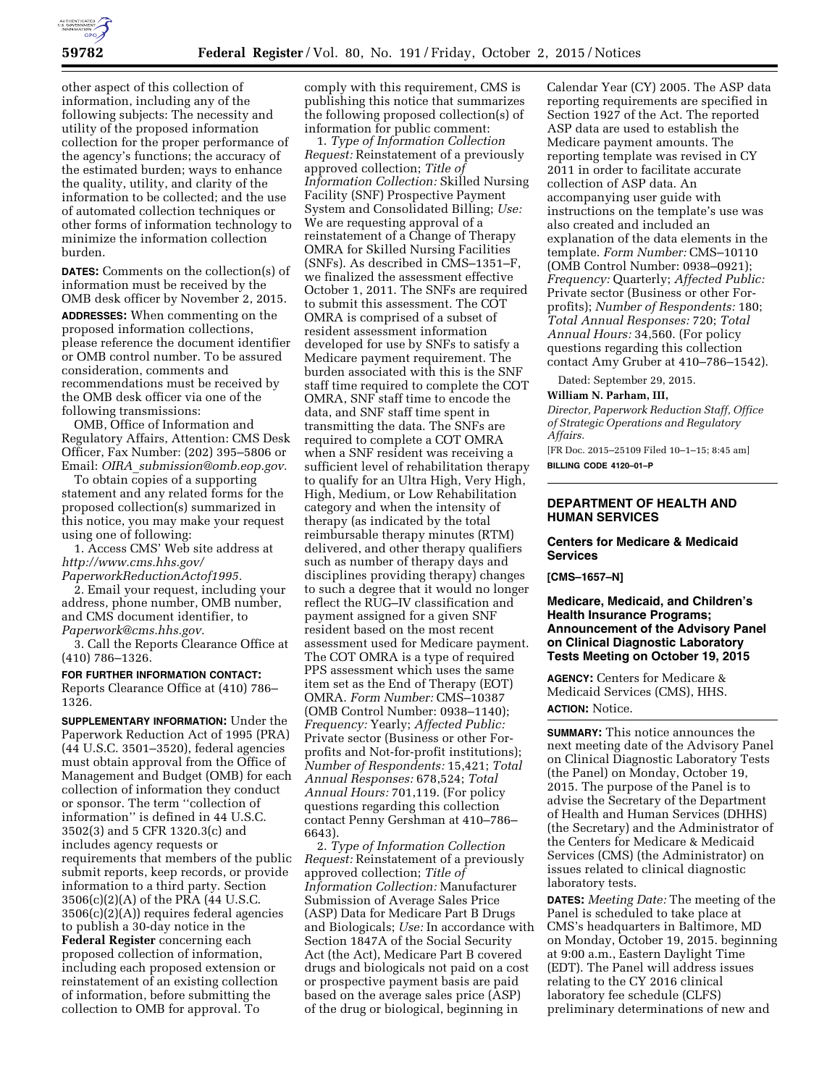

other aspect of this collection of information, including any of the following subjects: The necessity and utility of the proposed information collection for the proper performance of the agency's functions; the accuracy of the estimated burden; ways to enhance the quality, utility, and clarity of the information to be collected; and the use of automated collection techniques or other forms of information technology to minimize the information collection burden.

**DATES:** Comments on the collection(s) of information must be received by the OMB desk officer by November 2, 2015. **ADDRESSES:** When commenting on the proposed information collections, please reference the document identifier or OMB control number. To be assured consideration, comments and recommendations must be received by the OMB desk officer via one of the following transmissions:

OMB, Office of Information and Regulatory Affairs, Attention: CMS Desk Officer, Fax Number: (202) 395–5806 or Email: *OIRA*\_*[submission@omb.eop.gov.](mailto:OIRA_submission@omb.eop.gov)* 

To obtain copies of a supporting statement and any related forms for the proposed collection(s) summarized in this notice, you may make your request using one of following:

1. Access CMS' Web site address at *[http://www.cms.hhs.gov/](http://www.cms.hhs.gov/PaperworkReductionActof1995)*

*[PaperworkReductionActof1995.](http://www.cms.hhs.gov/PaperworkReductionActof1995)* 

2. Email your request, including your address, phone number, OMB number, and CMS document identifier, to *[Paperwork@cms.hhs.gov.](mailto:Paperwork@cms.hhs.gov)* 

3. Call the Reports Clearance Office at (410) 786–1326.

#### **FOR FURTHER INFORMATION CONTACT:**

Reports Clearance Office at (410) 786– 1326.

**SUPPLEMENTARY INFORMATION:** Under the Paperwork Reduction Act of 1995 (PRA) (44 U.S.C. 3501–3520), federal agencies must obtain approval from the Office of Management and Budget (OMB) for each collection of information they conduct or sponsor. The term ''collection of information'' is defined in 44 U.S.C. 3502(3) and 5 CFR 1320.3(c) and includes agency requests or requirements that members of the public submit reports, keep records, or provide information to a third party. Section 3506(c)(2)(A) of the PRA (44 U.S.C. 3506(c)(2)(A)) requires federal agencies to publish a 30-day notice in the **Federal Register** concerning each proposed collection of information, including each proposed extension or reinstatement of an existing collection of information, before submitting the collection to OMB for approval. To

comply with this requirement, CMS is publishing this notice that summarizes the following proposed collection(s) of information for public comment:

1. *Type of Information Collection Request:* Reinstatement of a previously approved collection; *Title of Information Collection:* Skilled Nursing Facility (SNF) Prospective Payment System and Consolidated Billing; *Use:*  We are requesting approval of a reinstatement of a Change of Therapy OMRA for Skilled Nursing Facilities (SNFs). As described in CMS–1351–F, we finalized the assessment effective October 1, 2011. The SNFs are required to submit this assessment. The COT OMRA is comprised of a subset of resident assessment information developed for use by SNFs to satisfy a Medicare payment requirement. The burden associated with this is the SNF staff time required to complete the COT OMRA, SNF staff time to encode the data, and SNF staff time spent in transmitting the data. The SNFs are required to complete a COT OMRA when a SNF resident was receiving a sufficient level of rehabilitation therapy to qualify for an Ultra High, Very High, High, Medium, or Low Rehabilitation category and when the intensity of therapy (as indicated by the total reimbursable therapy minutes (RTM) delivered, and other therapy qualifiers such as number of therapy days and disciplines providing therapy) changes to such a degree that it would no longer reflect the RUG–IV classification and payment assigned for a given SNF resident based on the most recent assessment used for Medicare payment. The COT OMRA is a type of required PPS assessment which uses the same item set as the End of Therapy (EOT) OMRA. *Form Number:* CMS–10387 (OMB Control Number: 0938–1140); *Frequency:* Yearly; *Affected Public:*  Private sector (Business or other Forprofits and Not-for-profit institutions); *Number of Respondents:* 15,421; *Total Annual Responses:* 678,524; *Total Annual Hours:* 701,119. (For policy questions regarding this collection contact Penny Gershman at 410–786– 6643).

2. *Type of Information Collection Request:* Reinstatement of a previously approved collection; *Title of Information Collection:* Manufacturer Submission of Average Sales Price (ASP) Data for Medicare Part B Drugs and Biologicals; *Use:* In accordance with Section 1847A of the Social Security Act (the Act), Medicare Part B covered drugs and biologicals not paid on a cost or prospective payment basis are paid based on the average sales price (ASP) of the drug or biological, beginning in

Calendar Year (CY) 2005. The ASP data reporting requirements are specified in Section 1927 of the Act. The reported ASP data are used to establish the Medicare payment amounts. The reporting template was revised in CY 2011 in order to facilitate accurate collection of ASP data. An accompanying user guide with instructions on the template's use was also created and included an explanation of the data elements in the template. *Form Number:* CMS–10110 (OMB Control Number: 0938–0921); *Frequency:* Quarterly; *Affected Public:*  Private sector (Business or other Forprofits); *Number of Respondents:* 180; *Total Annual Responses:* 720; *Total Annual Hours:* 34,560. (For policy questions regarding this collection contact Amy Gruber at 410–786–1542).

Dated: September 29, 2015.

#### **William N. Parham, III,**

*Director, Paperwork Reduction Staff, Office of Strategic Operations and Regulatory Affairs.* 

[FR Doc. 2015–25109 Filed 10–1–15; 8:45 am] **BILLING CODE 4120–01–P** 

# **DEPARTMENT OF HEALTH AND HUMAN SERVICES**

#### **Centers for Medicare & Medicaid Services**

#### **[CMS–1657–N]**

**Medicare, Medicaid, and Children's Health Insurance Programs; Announcement of the Advisory Panel on Clinical Diagnostic Laboratory Tests Meeting on October 19, 2015** 

**AGENCY:** Centers for Medicare & Medicaid Services (CMS), HHS. **ACTION:** Notice.

**SUMMARY:** This notice announces the next meeting date of the Advisory Panel on Clinical Diagnostic Laboratory Tests (the Panel) on Monday, October 19, 2015. The purpose of the Panel is to advise the Secretary of the Department of Health and Human Services (DHHS) (the Secretary) and the Administrator of the Centers for Medicare & Medicaid Services (CMS) (the Administrator) on issues related to clinical diagnostic laboratory tests.

**DATES:** *Meeting Date:* The meeting of the Panel is scheduled to take place at CMS's headquarters in Baltimore, MD on Monday, October 19, 2015. beginning at 9:00 a.m., Eastern Daylight Time (EDT). The Panel will address issues relating to the CY 2016 clinical laboratory fee schedule (CLFS) preliminary determinations of new and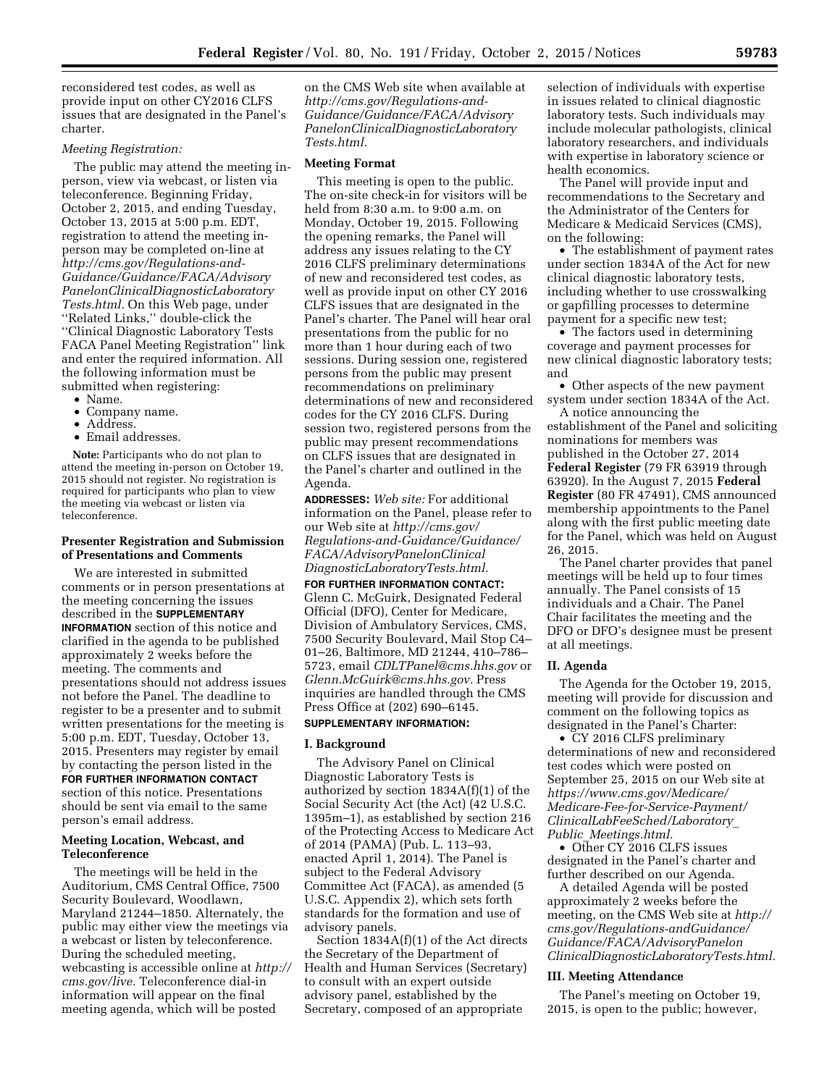reconsidered test codes, as well as provide input on other CY2016 CLFS issues that are designated in the Panel's charter.

### *Meeting Registration:*

The public may attend the meeting inperson, view via webcast, or listen via teleconference. Beginning Friday, October 2, 2015, and ending Tuesday, October 13, 2015 at 5:00 p.m. EDT, registration to attend the meeting inperson may be completed on-line at *[http://cms.gov/Regulations-and-](http://cms.gov/Regulations-and-Guidance/Guidance/FACA/AdvisoryPanelonClinicalDiagnosticLaboratoryTests.html)[Guidance/Guidance/FACA/Advisory](http://cms.gov/Regulations-and-Guidance/Guidance/FACA/AdvisoryPanelonClinicalDiagnosticLaboratoryTests.html) [PanelonClinicalDiagnosticLaboratory](http://cms.gov/Regulations-and-Guidance/Guidance/FACA/AdvisoryPanelonClinicalDiagnosticLaboratoryTests.html) [Tests.html.](http://cms.gov/Regulations-and-Guidance/Guidance/FACA/AdvisoryPanelonClinicalDiagnosticLaboratoryTests.html)* On this Web page, under ''Related Links,'' double-click the ''Clinical Diagnostic Laboratory Tests FACA Panel Meeting Registration'' link and enter the required information. All the following information must be submitted when registering:

- Name.
- Company name.
- Address.
- Email addresses.

**Note:** Participants who do not plan to attend the meeting in-person on October 19, 2015 should not register. No registration is required for participants who plan to view the meeting via webcast or listen via teleconference.

# **Presenter Registration and Submission of Presentations and Comments**

We are interested in submitted comments or in person presentations at the meeting concerning the issues described in the **SUPPLEMENTARY INFORMATION** section of this notice and clarified in the agenda to be published approximately 2 weeks before the meeting. The comments and presentations should not address issues not before the Panel. The deadline to register to be a presenter and to submit written presentations for the meeting is 5:00 p.m. EDT, Tuesday, October 13, 2015. Presenters may register by email by contacting the person listed in the **FOR FURTHER INFORMATION CONTACT** section of this notice. Presentations should be sent via email to the same person's email address.

### **Meeting Location, Webcast, and Teleconference**

The meetings will be held in the Auditorium, CMS Central Office, 7500 Security Boulevard, Woodlawn, Maryland 21244–1850. Alternately, the public may either view the meetings via a webcast or listen by teleconference. During the scheduled meeting, webcasting is accessible online at *[http://](http://cms.gov/live) [cms.gov/live.](http://cms.gov/live)* Teleconference dial-in information will appear on the final meeting agenda, which will be posted

on the CMS Web site when available at *[http://cms.gov/Regulations-and-](http://cms.gov/Regulations-and-Guidance/Guidance/FACA/AdvisoryPanelonClinicalDiagnosticLaboratoryTests.html)[Guidance/Guidance/FACA/Advisory](http://cms.gov/Regulations-and-Guidance/Guidance/FACA/AdvisoryPanelonClinicalDiagnosticLaboratoryTests.html) [PanelonClinicalDiagnosticLaboratory](http://cms.gov/Regulations-and-Guidance/Guidance/FACA/AdvisoryPanelonClinicalDiagnosticLaboratoryTests.html) [Tests.html.](http://cms.gov/Regulations-and-Guidance/Guidance/FACA/AdvisoryPanelonClinicalDiagnosticLaboratoryTests.html)* 

#### **Meeting Format**

This meeting is open to the public. The on-site check-in for visitors will be held from 8:30 a.m. to 9:00 a.m. on Monday, October 19, 2015. Following the opening remarks, the Panel will address any issues relating to the CY 2016 CLFS preliminary determinations of new and reconsidered test codes, as well as provide input on other CY 2016 CLFS issues that are designated in the Panel's charter. The Panel will hear oral presentations from the public for no more than 1 hour during each of two sessions. During session one, registered persons from the public may present recommendations on preliminary determinations of new and reconsidered codes for the CY 2016 CLFS. During session two, registered persons from the public may present recommendations on CLFS issues that are designated in the Panel's charter and outlined in the Agenda.

**ADDRESSES:** *Web site:* For additional information on the Panel, please refer to our Web site at *[http://cms.gov/](http://cms.gov/Regulations-and-Guidance/Guidance/FACA/AdvisoryPanelonClinicalDiagnosticLaboratoryTests.html) [Regulations-and-Guidance/Guidance/](http://cms.gov/Regulations-and-Guidance/Guidance/FACA/AdvisoryPanelonClinicalDiagnosticLaboratoryTests.html) [FACA/AdvisoryPanelonClinical](http://cms.gov/Regulations-and-Guidance/Guidance/FACA/AdvisoryPanelonClinicalDiagnosticLaboratoryTests.html) [DiagnosticLaboratoryTests.html.](http://cms.gov/Regulations-and-Guidance/Guidance/FACA/AdvisoryPanelonClinicalDiagnosticLaboratoryTests.html)* 

**FOR FURTHER INFORMATION CONTACT:**  Glenn C. McGuirk, Designated Federal Official (DFO), Center for Medicare, Division of Ambulatory Services, CMS, 7500 Security Boulevard, Mail Stop C4– 01–26, Baltimore, MD 21244, 410–786– 5723, email *[CDLTPanel@cms.hhs.gov](mailto:CDLTPanel@cms.hhs.gov)* or *[Glenn.McGuirk@cms.hhs.gov.](mailto:Glenn.McGuirk@cms.hhs.gov)* Press inquiries are handled through the CMS Press Office at (202) 690–6145.

# **SUPPLEMENTARY INFORMATION:**

# **I. Background**

The Advisory Panel on Clinical Diagnostic Laboratory Tests is authorized by section 1834A(f)(1) of the Social Security Act (the Act) (42 U.S.C. 1395m–1), as established by section 216 of the Protecting Access to Medicare Act of 2014 (PAMA) (Pub. L. 113–93, enacted April 1, 2014). The Panel is subject to the Federal Advisory Committee Act (FACA), as amended (5 U.S.C. Appendix 2), which sets forth standards for the formation and use of advisory panels.

Section 1834A(f)(1) of the Act directs the Secretary of the Department of Health and Human Services (Secretary) to consult with an expert outside advisory panel, established by the Secretary, composed of an appropriate

selection of individuals with expertise in issues related to clinical diagnostic laboratory tests. Such individuals may include molecular pathologists, clinical laboratory researchers, and individuals with expertise in laboratory science or health economics.

The Panel will provide input and recommendations to the Secretary and the Administrator of the Centers for Medicare & Medicaid Services (CMS), on the following:

• The establishment of payment rates under section 1834A of the Act for new clinical diagnostic laboratory tests, including whether to use crosswalking or gapfilling processes to determine payment for a specific new test;

• The factors used in determining coverage and payment processes for new clinical diagnostic laboratory tests; and

• Other aspects of the new payment system under section 1834A of the Act.

A notice announcing the establishment of the Panel and soliciting nominations for members was published in the October 27, 2014 **Federal Register** (79 FR 63919 through 63920). In the August 7, 2015 **Federal Register** (80 FR 47491), CMS announced membership appointments to the Panel along with the first public meeting date for the Panel, which was held on August 26, 2015.

The Panel charter provides that panel meetings will be held up to four times annually. The Panel consists of 15 individuals and a Chair. The Panel Chair facilitates the meeting and the DFO or DFO's designee must be present at all meetings.

#### **II. Agenda**

The Agenda for the October 19, 2015, meeting will provide for discussion and comment on the following topics as designated in the Panel's Charter:

• CY 2016 CLFS preliminary determinations of new and reconsidered test codes which were posted on September 25, 2015 on our Web site at *[https://www.cms.gov/Medicare/](https://www.cms.gov/Medicare/Medicare-Fee-for-Service-Payment/ClinicalLabFeeSched/Laboratory_Public_Meetings.html) [Medicare-Fee-for-Service-Payment/](https://www.cms.gov/Medicare/Medicare-Fee-for-Service-Payment/ClinicalLabFeeSched/Laboratory_Public_Meetings.html) [ClinicalLabFeeSched/Laboratory](https://www.cms.gov/Medicare/Medicare-Fee-for-Service-Payment/ClinicalLabFeeSched/Laboratory_Public_Meetings.html)*\_ *Public*\_*[Meetings.html.](https://www.cms.gov/Medicare/Medicare-Fee-for-Service-Payment/ClinicalLabFeeSched/Laboratory_Public_Meetings.html)* 

• Other CY 2016 CLFS issues designated in the Panel's charter and further described on our Agenda.

A detailed Agenda will be posted approximately 2 weeks before the meeting, on the CMS Web site at *[http://](http://cms.gov/Regulations-andGuidance/Guidance/FACA/AdvisoryPanelonClinicalDiagnosticLaboratoryTests.html) [cms.gov/Regulations-andGuidance/](http://cms.gov/Regulations-andGuidance/Guidance/FACA/AdvisoryPanelonClinicalDiagnosticLaboratoryTests.html) [Guidance/FACA/AdvisoryPanelon](http://cms.gov/Regulations-andGuidance/Guidance/FACA/AdvisoryPanelonClinicalDiagnosticLaboratoryTests.html) [ClinicalDiagnosticLaboratoryTests.html.](http://cms.gov/Regulations-andGuidance/Guidance/FACA/AdvisoryPanelonClinicalDiagnosticLaboratoryTests.html)* 

#### **III. Meeting Attendance**

The Panel's meeting on October 19, 2015, is open to the public; however,